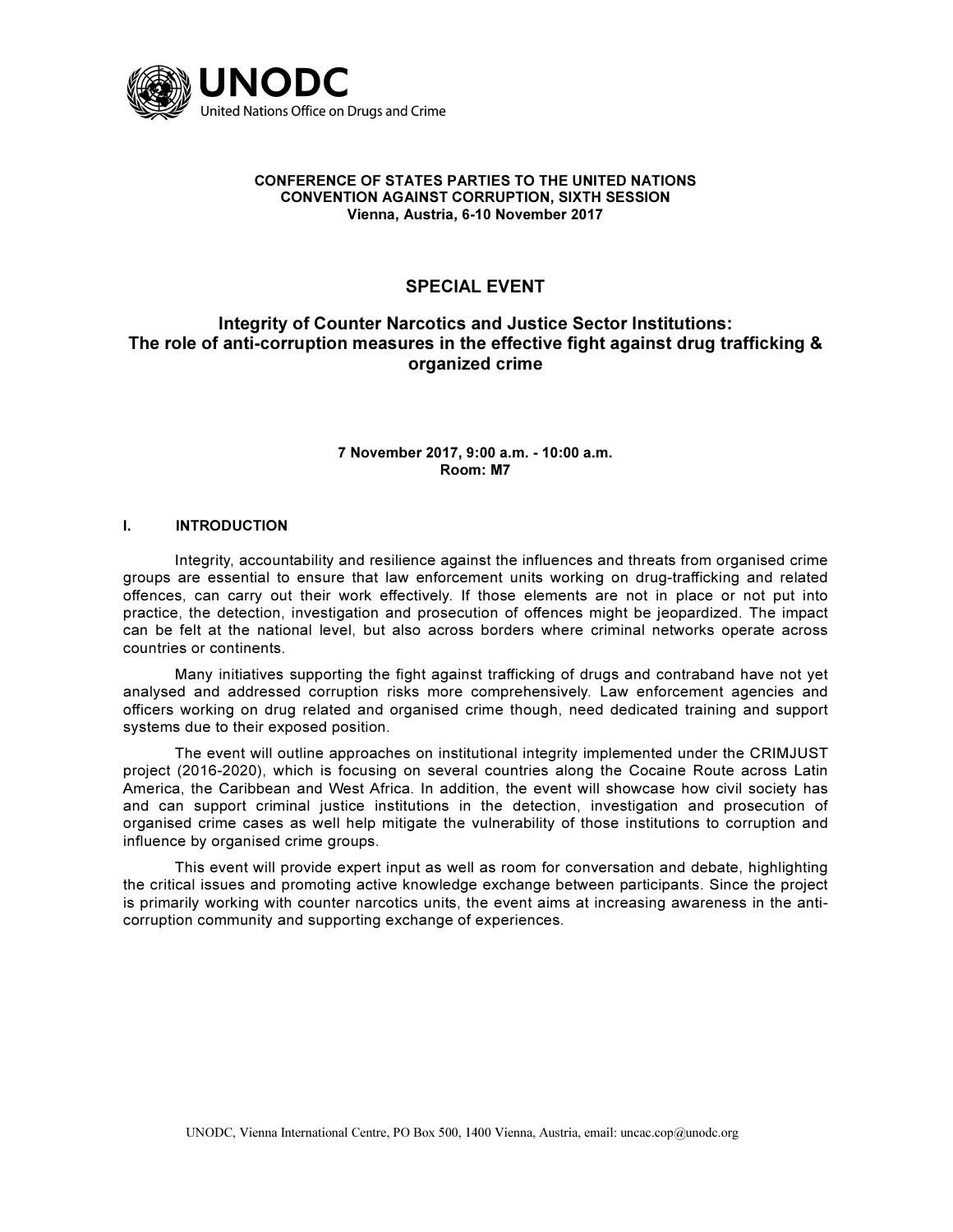

#### CONFERENCE OF STATES PARTIES TO THE UNITED NATIONS CONVENTION AGAINST CORRUPTION, SIXTH SESSION Vienna, Austria, 6-10 November 2017

# SPECIAL EVENT

## Integrity of Counter Narcotics and Justice Sector Institutions: The role of anti-corruption measures in the effective fight against drug trafficking & organized crime

### 7 November 2017, 9:00 a.m. - 10:00 a.m. Room: M7

#### I. INTRODUCTION

 Integrity, accountability and resilience against the influences and threats from organised crime groups are essential to ensure that law enforcement units working on drug-trafficking and related offences, can carry out their work effectively. If those elements are not in place or not put into practice, the detection, investigation and prosecution of offences might be jeopardized. The impact can be felt at the national level, but also across borders where criminal networks operate across countries or continents.

 Many initiatives supporting the fight against trafficking of drugs and contraband have not yet analysed and addressed corruption risks more comprehensively. Law enforcement agencies and officers working on drug related and organised crime though, need dedicated training and support systems due to their exposed position.

 The event will outline approaches on institutional integrity implemented under the CRIMJUST project (2016-2020), which is focusing on several countries along the Cocaine Route across Latin America, the Caribbean and West Africa. In addition, the event will showcase how civil society has and can support criminal justice institutions in the detection, investigation and prosecution of organised crime cases as well help mitigate the vulnerability of those institutions to corruption and influence by organised crime groups.

 This event will provide expert input as well as room for conversation and debate, highlighting the critical issues and promoting active knowledge exchange between participants. Since the project is primarily working with counter narcotics units, the event aims at increasing awareness in the anticorruption community and supporting exchange of experiences.